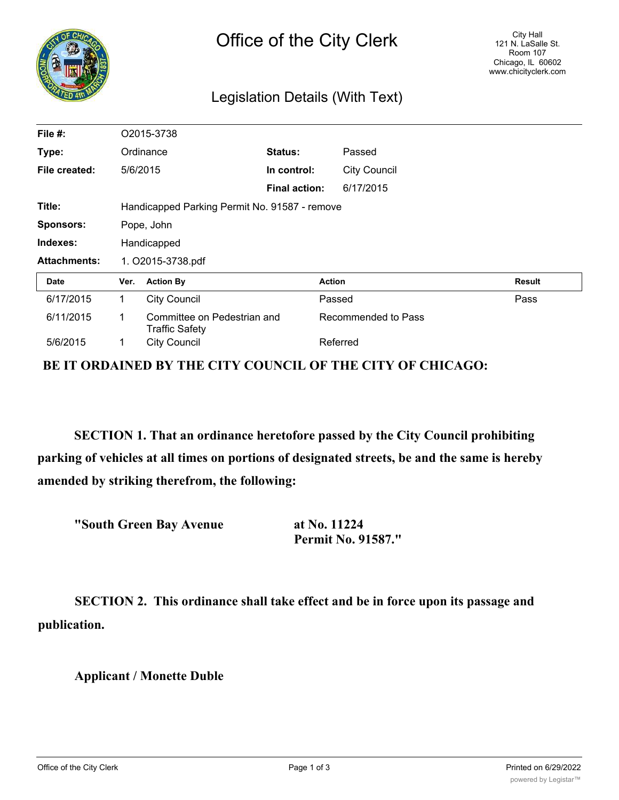| <b>NGO</b>          | Office of the City Clerk<br>Legislation Details (With Text) |                                                      |                      |                     |                     | City Hall<br>121 N. LaSalle St.<br>Room 107<br>Chicago, IL 60602<br>www.chicityclerk.com |
|---------------------|-------------------------------------------------------------|------------------------------------------------------|----------------------|---------------------|---------------------|------------------------------------------------------------------------------------------|
| File #:             |                                                             | O2015-3738                                           |                      |                     |                     |                                                                                          |
| Type:               | Ordinance                                                   |                                                      | Status:              |                     | Passed              |                                                                                          |
| File created:       |                                                             | 5/6/2015                                             | In control:          |                     | <b>City Council</b> |                                                                                          |
|                     |                                                             |                                                      | <b>Final action:</b> |                     | 6/17/2015           |                                                                                          |
| Title:              | Handicapped Parking Permit No. 91587 - remove               |                                                      |                      |                     |                     |                                                                                          |
| Sponsors:           | Pope, John                                                  |                                                      |                      |                     |                     |                                                                                          |
| Indexes:            | Handicapped                                                 |                                                      |                      |                     |                     |                                                                                          |
| <b>Attachments:</b> | 1. O2015-3738.pdf                                           |                                                      |                      |                     |                     |                                                                                          |
| <b>Date</b>         | Ver.                                                        | <b>Action By</b>                                     | <b>Action</b>        |                     |                     | <b>Result</b>                                                                            |
| 6/17/2015           | 1.                                                          | <b>City Council</b>                                  |                      |                     | Passed              | Pass                                                                                     |
| 6/11/2015           | 1                                                           | Committee on Pedestrian and<br><b>Traffic Safety</b> |                      | Recommended to Pass |                     |                                                                                          |
| 5/6/2015            |                                                             | <b>City Council</b>                                  | Referred             |                     |                     |                                                                                          |

**BE IT ORDAINED BY THE CITY COUNCIL OF THE CITY OF CHICAGO:**

**SECTION 1. That an ordinance heretofore passed by the City Council prohibiting parking of vehicles at all times on portions of designated streets, be and the same is hereby amended by striking therefrom, the following:**

**"South Green Bay Avenue at No. 11224**

**Permit No. 91587."**

**SECTION 2. This ordinance shall take effect and be in force upon its passage and publication.**

**Applicant / Monette Duble**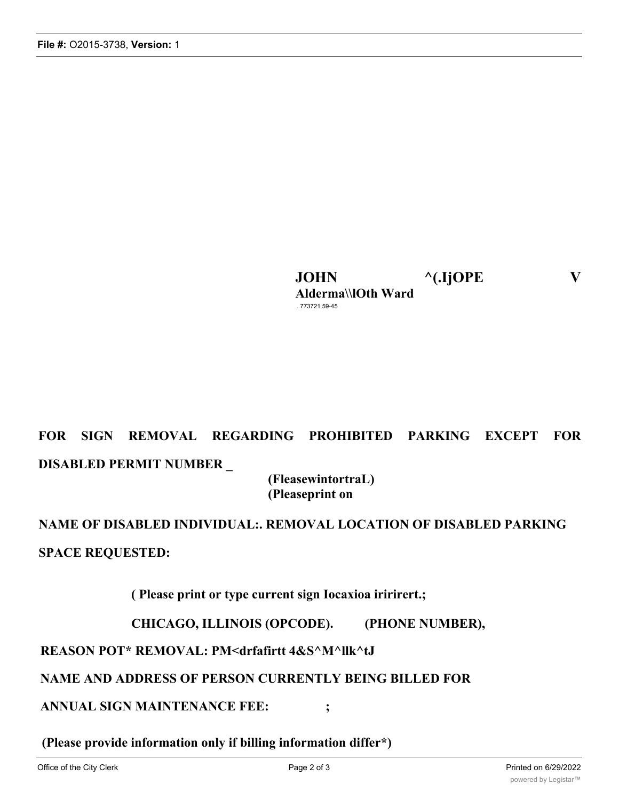**JOHN ^(.IjOPE V Alderma\\lOth Ward** . 773721 59-45

# **FOR SIGN REMOVAL REGARDING PROHIBITED PARKING EXCEPT FOR DISABLED PERMIT NUMBER \_**

**(FleasewintortraL) (Pleaseprint on**

**NAME OF DISABLED INDIVIDUAL:. REMOVAL LOCATION OF DISABLED PARKING SPACE REQUESTED:**

**( Please print or type current sign Iocaxioa iririrert.;**

**CHICAGO, ILLINOIS (OPCODE). (PHONE NUMBER),**

**REASON POT\* REMOVAL: PM<drfafirtt 4&S^M^llk^tJ**

## **NAME AND ADDRESS OF PERSON CURRENTLY BEING BILLED FOR**

**ANNUAL SIGN MAINTENANCE FEE: ;**

**(Please provide information only if billing information differ\*)**